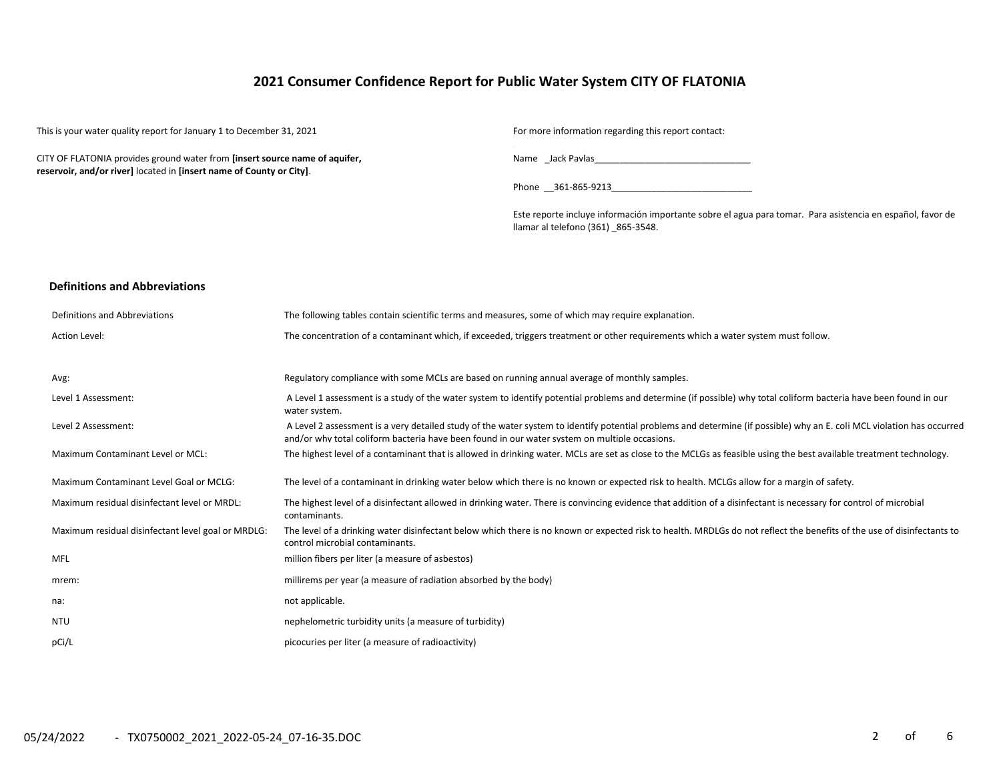## **2021 Consumer Confidence Report for Public Water System CITY OF FLATONIA**

This is your water quality report for January 1 to December 31, 2021 For more information regarding this report contact:

CITY OF FLATONIA provides ground water from **[insert source name of aquifer, reservoir, and/or river]** located in **[insert name of County or City]**.

Name \_Jack Pavlas\_\_\_\_\_\_\_\_\_\_\_\_\_\_\_\_\_\_\_\_\_\_\_\_\_\_\_\_\_\_\_

Phone \_\_361-865-9213\_\_\_\_\_\_\_\_\_\_\_\_\_\_\_\_\_\_\_\_\_\_\_\_\_\_\_\_

Este reporte incluye información importante sobre el agua para tomar. Para asistencia en español, favor de llamar al telefono (361) \_865-3548.

#### **Definitions and Abbreviations**

| Definitions and Abbreviations                      | The following tables contain scientific terms and measures, some of which may require explanation.                                                                                                                                                                      |
|----------------------------------------------------|-------------------------------------------------------------------------------------------------------------------------------------------------------------------------------------------------------------------------------------------------------------------------|
| Action Level:                                      | The concentration of a contaminant which, if exceeded, triggers treatment or other requirements which a water system must follow.                                                                                                                                       |
|                                                    |                                                                                                                                                                                                                                                                         |
| Avg:                                               | Regulatory compliance with some MCLs are based on running annual average of monthly samples.                                                                                                                                                                            |
| Level 1 Assessment:                                | A Level 1 assessment is a study of the water system to identify potential problems and determine (if possible) why total coliform bacteria have been found in our<br>water system.                                                                                      |
| Level 2 Assessment:                                | A Level 2 assessment is a very detailed study of the water system to identify potential problems and determine (if possible) why an E. coli MCL violation has occurred<br>and/or why total coliform bacteria have been found in our water system on multiple occasions. |
| <b>Maximum Contaminant Level or MCL:</b>           | The highest level of a contaminant that is allowed in drinking water. MCLs are set as close to the MCLGs as feasible using the best available treatment technology.                                                                                                     |
| Maximum Contaminant Level Goal or MCLG:            | The level of a contaminant in drinking water below which there is no known or expected risk to health. MCLGs allow for a margin of safety.                                                                                                                              |
| Maximum residual disinfectant level or MRDL:       | The highest level of a disinfectant allowed in drinking water. There is convincing evidence that addition of a disinfectant is necessary for control of microbial<br>contaminants.                                                                                      |
| Maximum residual disinfectant level goal or MRDLG: | The level of a drinking water disinfectant below which there is no known or expected risk to health. MRDLGs do not reflect the benefits of the use of disinfectants to<br>control microbial contaminants.                                                               |
| <b>MFL</b>                                         | million fibers per liter (a measure of asbestos)                                                                                                                                                                                                                        |
| mrem:                                              | millirems per year (a measure of radiation absorbed by the body)                                                                                                                                                                                                        |
| na:                                                | not applicable.                                                                                                                                                                                                                                                         |
| <b>NTU</b>                                         | nephelometric turbidity units (a measure of turbidity)                                                                                                                                                                                                                  |
| pCi/L                                              | picocuries per liter (a measure of radioactivity)                                                                                                                                                                                                                       |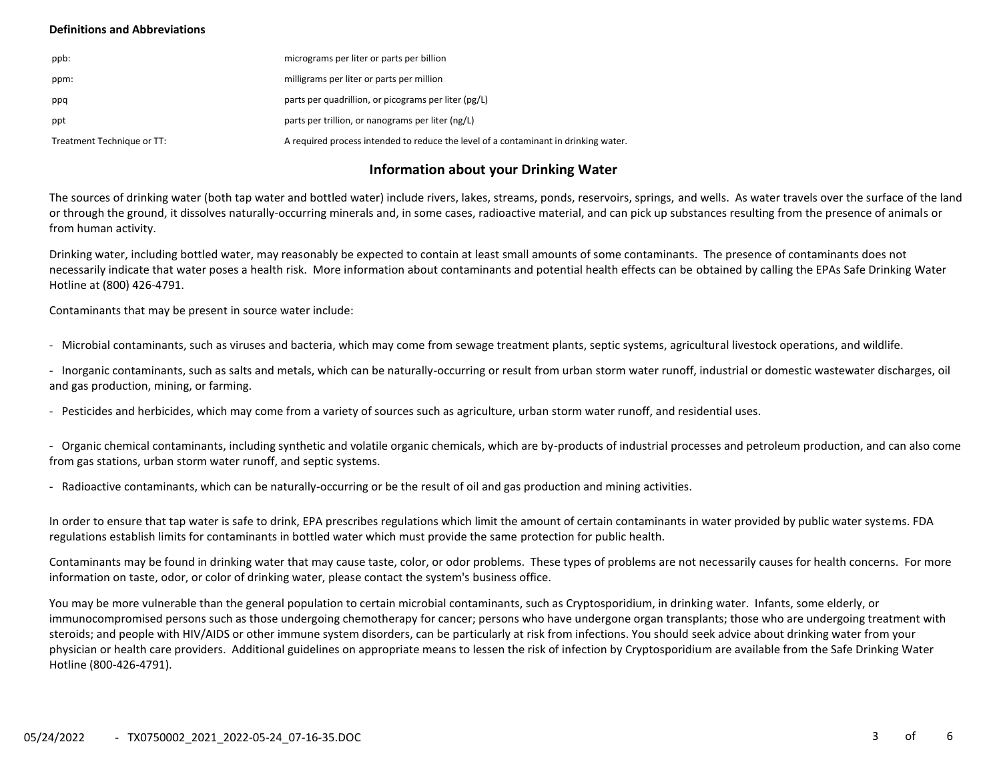### **Definitions and Abbreviations**

| ppb:                       | micrograms per liter or parts per billion                                           |
|----------------------------|-------------------------------------------------------------------------------------|
| ppm:                       | milligrams per liter or parts per million                                           |
| ppq                        | parts per quadrillion, or picograms per liter (pg/L)                                |
| ppt                        | parts per trillion, or nanograms per liter (ng/L)                                   |
| Treatment Technique or TT: | A required process intended to reduce the level of a contaminant in drinking water. |

## **Information about your Drinking Water**

The sources of drinking water (both tap water and bottled water) include rivers, lakes, streams, ponds, reservoirs, springs, and wells. As water travels over the surface of the land or through the ground, it dissolves naturally-occurring minerals and, in some cases, radioactive material, and can pick up substances resulting from the presence of animals or from human activity.

Drinking water, including bottled water, may reasonably be expected to contain at least small amounts of some contaminants. The presence of contaminants does not necessarily indicate that water poses a health risk. More information about contaminants and potential health effects can be obtained by calling the EPAs Safe Drinking Water Hotline at (800) 426-4791.

Contaminants that may be present in source water include:

- Microbial contaminants, such as viruses and bacteria, which may come from sewage treatment plants, septic systems, agricultural livestock operations, and wildlife.

- Inorganic contaminants, such as salts and metals, which can be naturally-occurring or result from urban storm water runoff, industrial or domestic wastewater discharges, oil and gas production, mining, or farming.

- Pesticides and herbicides, which may come from a variety of sources such as agriculture, urban storm water runoff, and residential uses.

- Organic chemical contaminants, including synthetic and volatile organic chemicals, which are by-products of industrial processes and petroleum production, and can also come from gas stations, urban storm water runoff, and septic systems.

- Radioactive contaminants, which can be naturally-occurring or be the result of oil and gas production and mining activities.

In order to ensure that tap water is safe to drink, EPA prescribes regulations which limit the amount of certain contaminants in water provided by public water systems. FDA regulations establish limits for contaminants in bottled water which must provide the same protection for public health.

Contaminants may be found in drinking water that may cause taste, color, or odor problems. These types of problems are not necessarily causes for health concerns. For more information on taste, odor, or color of drinking water, please contact the system's business office.

You may be more vulnerable than the general population to certain microbial contaminants, such as Cryptosporidium, in drinking water. Infants, some elderly, or immunocompromised persons such as those undergoing chemotherapy for cancer; persons who have undergone organ transplants; those who are undergoing treatment with steroids; and people with HIV/AIDS or other immune system disorders, can be particularly at risk from infections. You should seek advice about drinking water from your physician or health care providers. Additional guidelines on appropriate means to lessen the risk of infection by Cryptosporidium are available from the Safe Drinking Water Hotline (800-426-4791).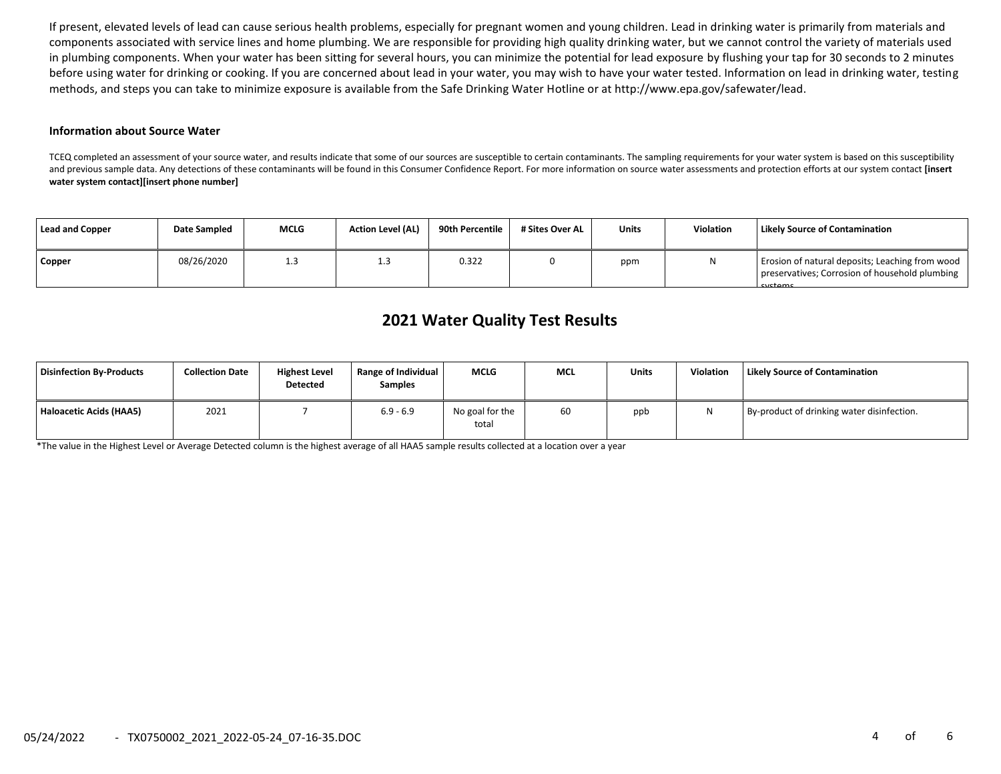If present, elevated levels of lead can cause serious health problems, especially for pregnant women and young children. Lead in drinking water is primarily from materials and components associated with service lines and home plumbing. We are responsible for providing high quality drinking water, but we cannot control the variety of materials used in plumbing components. When your water has been sitting for several hours, you can minimize the potential for lead exposure by flushing your tap for 30 seconds to 2 minutes before using water for drinking or cooking. If you are concerned about lead in your water, you may wish to have your water tested. Information on lead in drinking water, testing methods, and steps you can take to minimize exposure is available from the Safe Drinking Water Hotline or at http://www.epa.gov/safewater/lead.

#### **Information about Source Water**

TCEQ completed an assessment of your source water, and results indicate that some of our sources are susceptible to certain contaminants. The sampling requirements for your water system is based on this susceptibility and previous sample data. Any detections of these contaminants will be found in this Consumer Confidence Report. For more information on source water assessments and protection efforts at our system contact **[insert water system contact][insert phone number]**

| Lead and Copper | Date Sampled | <b>MCLG</b> | <b>Action Level (AL)</b> | 90th Percentile | # Sites Over AL | <b>Units</b> | <b>Violation</b> | <b>Likely Source of Contamination</b>                                                                        |
|-----------------|--------------|-------------|--------------------------|-----------------|-----------------|--------------|------------------|--------------------------------------------------------------------------------------------------------------|
| Copper          | 08/26/2020   | د. ⊥        | -3<br>ر                  | 0.322           |                 | ppm          | N                | Erosion of natural deposits; Leaching from wood<br>preservatives; Corrosion of household plumbing<br>systems |

# **2021 Water Quality Test Results**

| Disinfection By-Products | <b>Collection Date</b> | <b>Highest Level</b><br><b>Detected</b> | Range of Individual<br><b>Samples</b> | <b>MCLG</b>              | <b>MCL</b> | <b>Units</b> | <b>Violation</b> | <b>Likely Source of Contamination</b>      |
|--------------------------|------------------------|-----------------------------------------|---------------------------------------|--------------------------|------------|--------------|------------------|--------------------------------------------|
| Haloacetic Acids (HAA5)  | 2021                   |                                         | $6.9 - 6.9$                           | No goal for the<br>total | 60         | ppb          |                  | By-product of drinking water disinfection. |

\*The value in the Highest Level or Average Detected column is the highest average of all HAA5 sample results collected at a location over a year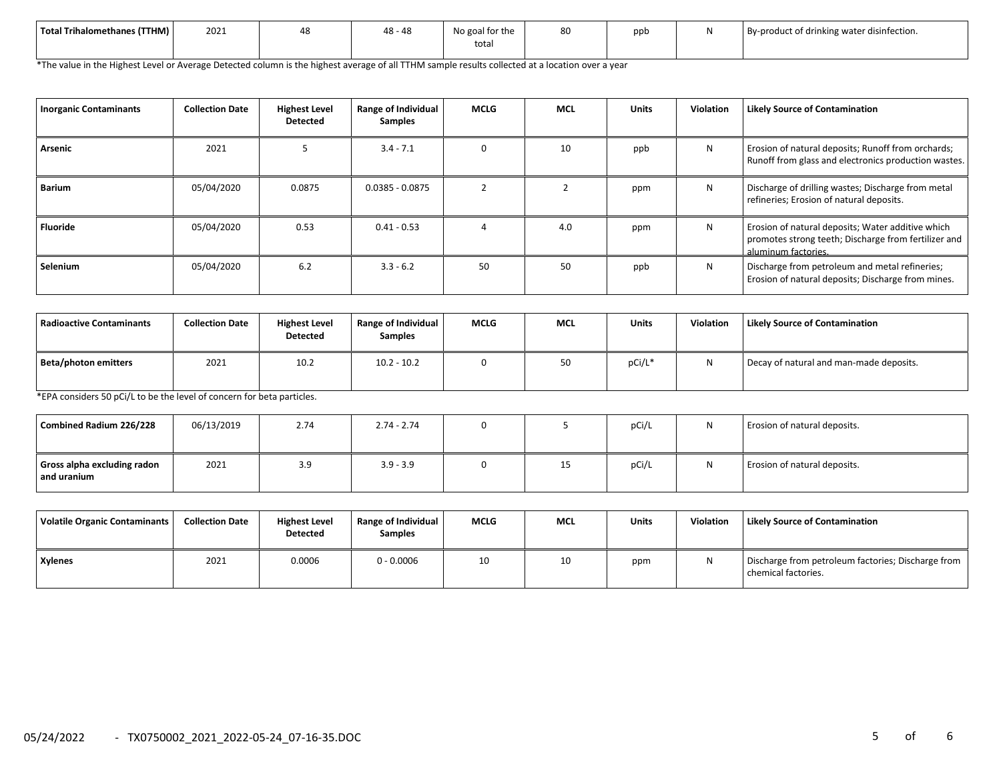| Total Trihalomethanes (TTHM) | 2021 | 48 | $\sqrt{2}$<br>$\overline{a}$<br>40 - 40 | No goal for the<br>tota | 80 | nnt | .<br>By-product of drinking water disinfection. |
|------------------------------|------|----|-----------------------------------------|-------------------------|----|-----|-------------------------------------------------|
|                              |      |    |                                         |                         |    |     |                                                 |

\*The value in the Highest Level or Average Detected column is the highest average of all TTHM sample results collected at a location over a year

| <b>Inorganic Contaminants</b> | <b>Collection Date</b> | <b>Highest Level</b><br><b>Detected</b> | Range of Individual<br><b>Samples</b> | <b>MCLG</b> | <b>MCL</b> | <b>Units</b> | <b>Violation</b> | <b>Likely Source of Contamination</b>                                                                                            |
|-------------------------------|------------------------|-----------------------------------------|---------------------------------------|-------------|------------|--------------|------------------|----------------------------------------------------------------------------------------------------------------------------------|
| Arsenic                       | 2021                   |                                         | $3.4 - 7.1$                           |             | 10         | ppb          | N                | Erosion of natural deposits; Runoff from orchards;<br>Runoff from glass and electronics production wastes.                       |
| <b>Barium</b>                 | 05/04/2020             | 0.0875                                  | $0.0385 - 0.0875$                     |             |            | ppm          | N                | Discharge of drilling wastes; Discharge from metal<br>refineries; Erosion of natural deposits.                                   |
| Fluoride                      | 05/04/2020             | 0.53                                    | $0.41 - 0.53$                         |             | 4.0        | ppm          | N                | Erosion of natural deposits; Water additive which<br>promotes strong teeth; Discharge from fertilizer and<br>aluminum factories. |
| Selenium                      | 05/04/2020             | 6.2                                     | $3.3 - 6.2$                           | 50          | 50         | ppb          | N                | Discharge from petroleum and metal refineries;<br>Erosion of natural deposits; Discharge from mines.                             |

| Radioactive Contaminants | <b>Collection Date</b> | <b>Highest Level</b><br><b>Detected</b> | <b>Range of Individual</b><br><b>Samples</b> | <b>MCLG</b> | <b>MCL</b> | <b>Units</b> | <b>Violation</b> | <b>Likely Source of Contamination</b>   |
|--------------------------|------------------------|-----------------------------------------|----------------------------------------------|-------------|------------|--------------|------------------|-----------------------------------------|
| Beta/photon emitters     | 2021                   | 10.2                                    | $10.2 - 10.2$                                |             | 50         | pCi/L*       | <b>NI</b>        | Decay of natural and man-made deposits. |

\*EPA considers 50 pCi/L to be the level of concern for beta particles.

| Combined Radium 226/228                    | 06/13/2019 | 2.74 | $2.74 - 2.74$ | 0 |    | pCi/L | N | Erosion of natural deposits. |
|--------------------------------------------|------------|------|---------------|---|----|-------|---|------------------------------|
| Gross alpha excluding radon<br>and uranium | 2021       | 3.9  | $3.9 - 3.9$   |   | 15 | pCi/L | N | Erosion of natural deposits. |

| Volatile Organic Contaminants | <b>Collection Date</b> | <b>Highest Level</b><br><b>Detected</b> | Range of Individual<br><b>Samples</b> | <b>MCLG</b> | <b>MCL</b> | <b>Units</b> | Violation | <b>Likely Source of Contamination</b>                                     |
|-------------------------------|------------------------|-----------------------------------------|---------------------------------------|-------------|------------|--------------|-----------|---------------------------------------------------------------------------|
| <b>Xylenes</b>                | 2021                   | 0.0006                                  | $0 - 0.0006$                          | 10          | 10         | ppm          |           | Discharge from petroleum factories; Discharge from<br>chemical factories. |